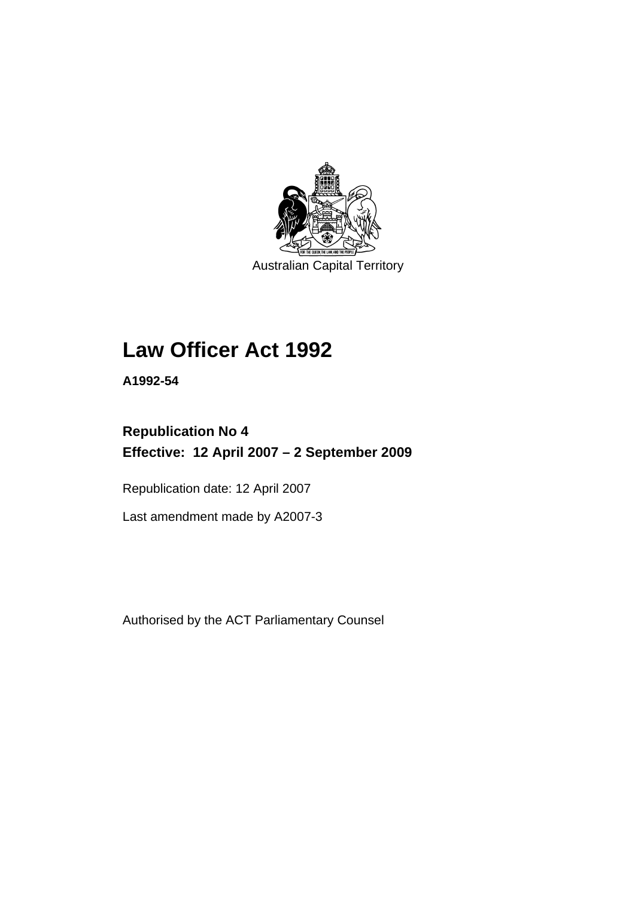

Australian Capital Territory

# **[Law Officer Act 1992](#page-4-0)**

**A1992-54** 

# **Republication No 4 Effective: 12 April 2007 – 2 September 2009**

Republication date: 12 April 2007

Last amendment made by A2007-3

Authorised by the ACT Parliamentary Counsel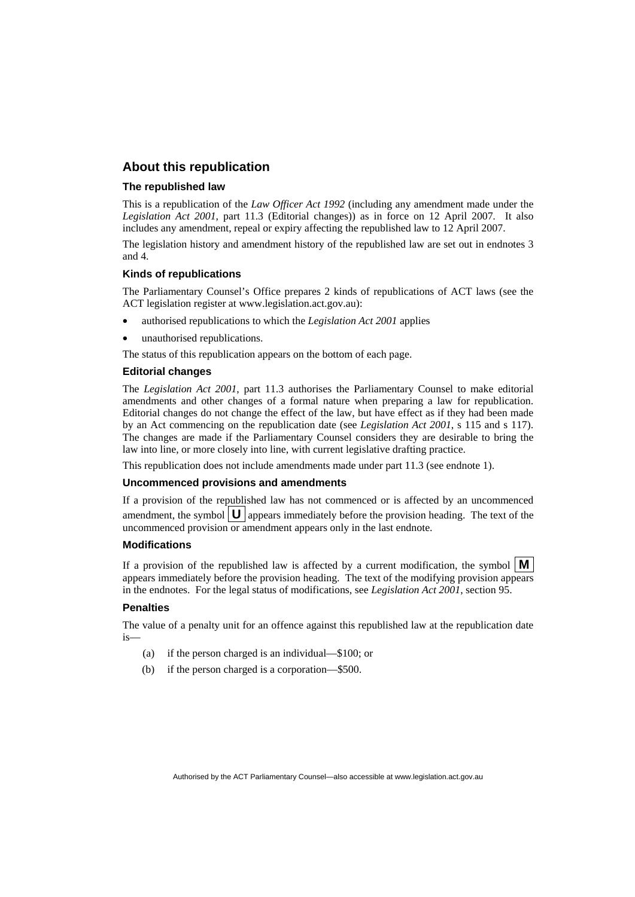# **About this republication**

#### **The republished law**

This is a republication of the *Law Officer Act 1992* (including any amendment made under the *Legislation Act 2001*, part 11.3 (Editorial changes)) as in force on 12 April 2007*.* It also includes any amendment, repeal or expiry affecting the republished law to 12 April 2007.

The legislation history and amendment history of the republished law are set out in endnotes 3 and 4.

#### **Kinds of republications**

The Parliamentary Counsel's Office prepares 2 kinds of republications of ACT laws (see the ACT legislation register at www.legislation.act.gov.au):

- authorised republications to which the *Legislation Act 2001* applies
- unauthorised republications.

The status of this republication appears on the bottom of each page.

#### **Editorial changes**

The *Legislation Act 2001*, part 11.3 authorises the Parliamentary Counsel to make editorial amendments and other changes of a formal nature when preparing a law for republication. Editorial changes do not change the effect of the law, but have effect as if they had been made by an Act commencing on the republication date (see *Legislation Act 2001*, s 115 and s 117). The changes are made if the Parliamentary Counsel considers they are desirable to bring the law into line, or more closely into line, with current legislative drafting practice.

This republication does not include amendments made under part 11.3 (see endnote 1).

#### **Uncommenced provisions and amendments**

If a provision of the republished law has not commenced or is affected by an uncommenced amendment, the symbol  $\mathbf{U}$  appears immediately before the provision heading. The text of the uncommenced provision or amendment appears only in the last endnote.

#### **Modifications**

If a provision of the republished law is affected by a current modification, the symbol  $\mathbf{M}$ appears immediately before the provision heading. The text of the modifying provision appears in the endnotes. For the legal status of modifications, see *Legislation Act 2001*, section 95.

#### **Penalties**

The value of a penalty unit for an offence against this republished law at the republication date is—

- (a) if the person charged is an individual—\$100; or
- (b) if the person charged is a corporation—\$500.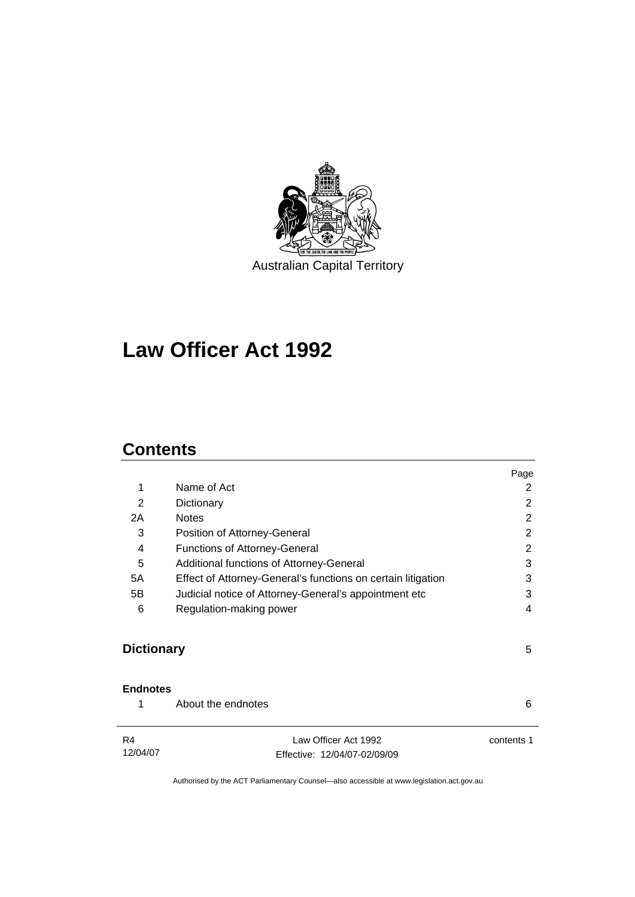

# **[Law Officer Act 1992](#page-4-0)**

# **Contents**

|                   |                                                              | Page           |
|-------------------|--------------------------------------------------------------|----------------|
| 1                 | Name of Act                                                  | 2              |
| 2                 | Dictionary                                                   | 2              |
| 2A                | <b>Notes</b>                                                 | 2              |
| 3                 | Position of Attorney-General                                 | $\overline{2}$ |
| $\overline{4}$    | <b>Functions of Attorney-General</b>                         | 2              |
| 5                 | Additional functions of Attorney-General                     | 3              |
| 5A                | Effect of Attorney-General's functions on certain litigation |                |
| 5B                | Judicial notice of Attorney-General's appointment etc        | 3              |
| 6                 | Regulation-making power                                      |                |
| <b>Dictionary</b> |                                                              | 5              |
| <b>Endnotes</b>   |                                                              |                |
| 1                 | About the endnotes                                           | 6              |
| R4<br>12/04/07    | Law Officer Act 1992<br>Effective: 12/04/07-02/09/09         | contents 1     |
|                   |                                                              |                |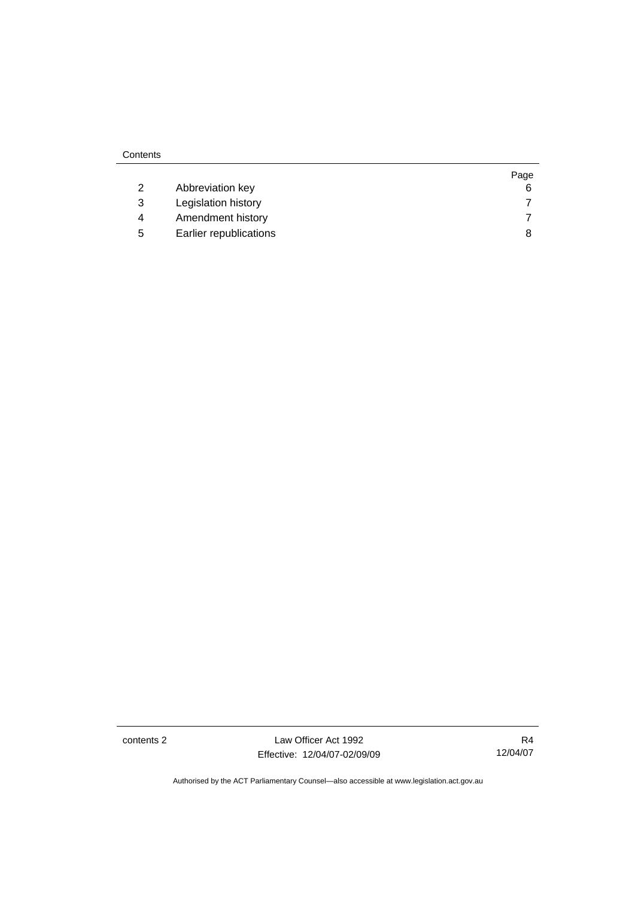| Contents |                     |      |
|----------|---------------------|------|
|          |                     | Page |
|          | Abbreviation key    | 6    |
| 3        | Legislation history |      |

 4 Amendment history [7](#page-10-0) 5 Earlier republications [8](#page-11-0)

| contents 2 |  |
|------------|--|
|            |  |

contents 2 Law Officer Act 1992 Effective: 12/04/07-02/09/09

R4 12/04/07

Page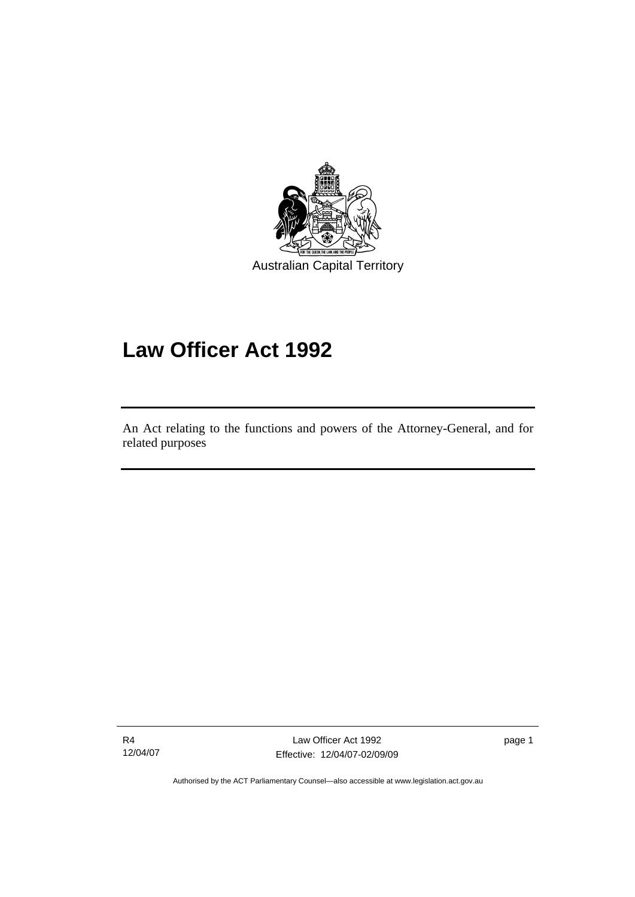<span id="page-4-0"></span>

# **Law Officer Act 1992**

An Act relating to the functions and powers of the Attorney-General, and for related purposes

R4 12/04/07

l

Law Officer Act 1992 Effective: 12/04/07-02/09/09

page 1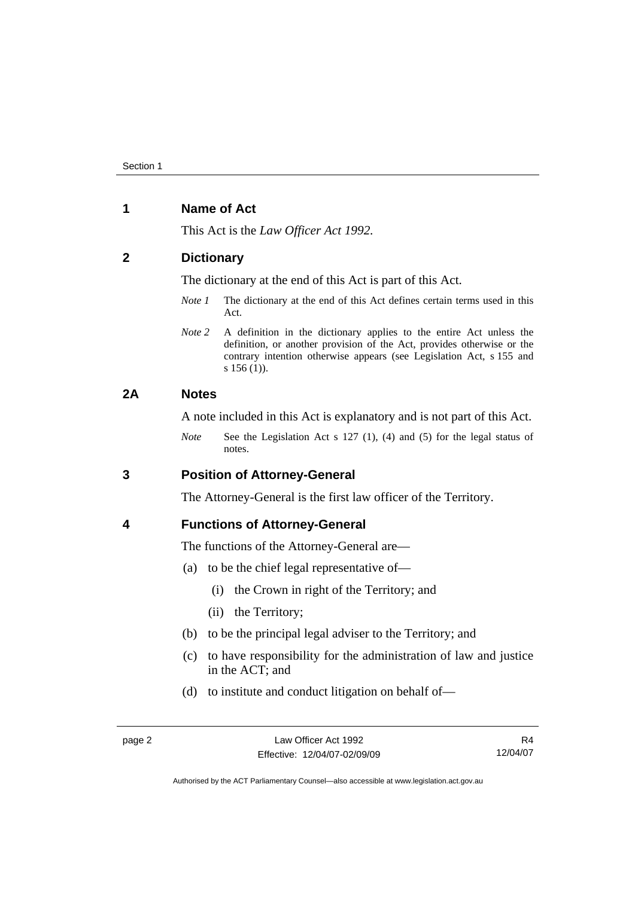# <span id="page-5-0"></span>**1 Name of Act**

This Act is the *Law Officer Act 1992.*

## **2 Dictionary**

The dictionary at the end of this Act is part of this Act.

- *Note 1* The dictionary at the end of this Act defines certain terms used in this Act.
- *Note 2* A definition in the dictionary applies to the entire Act unless the definition, or another provision of the Act, provides otherwise or the contrary intention otherwise appears (see Legislation Act, s 155 and s 156 (1)).

# **2A Notes**

A note included in this Act is explanatory and is not part of this Act.

*Note* See the Legislation Act s 127 (1), (4) and (5) for the legal status of notes.

# **3 Position of Attorney-General**

The Attorney-General is the first law officer of the Territory.

### **4 Functions of Attorney-General**

The functions of the Attorney-General are—

- (a) to be the chief legal representative of—
	- (i) the Crown in right of the Territory; and
	- (ii) the Territory;
- (b) to be the principal legal adviser to the Territory; and
- (c) to have responsibility for the administration of law and justice in the ACT; and
- (d) to institute and conduct litigation on behalf of—

R4 12/04/07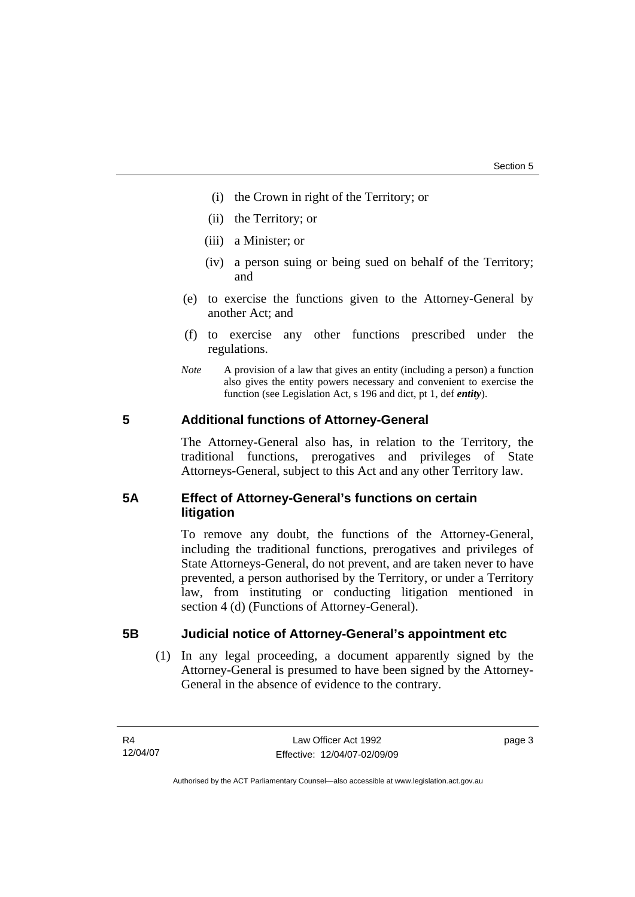- <span id="page-6-0"></span>(i) the Crown in right of the Territory; or
- (ii) the Territory; or
- (iii) a Minister; or
- (iv) a person suing or being sued on behalf of the Territory; and
- (e) to exercise the functions given to the Attorney-General by another Act; and
- (f) to exercise any other functions prescribed under the regulations.
- *Note* A provision of a law that gives an entity (including a person) a function also gives the entity powers necessary and convenient to exercise the function (see Legislation Act, s 196 and dict, pt 1, def *entity*).

# **5 Additional functions of Attorney-General**

The Attorney-General also has, in relation to the Territory, the traditional functions, prerogatives and privileges of State Attorneys-General, subject to this Act and any other Territory law.

# **5A Effect of Attorney-General's functions on certain litigation**

To remove any doubt, the functions of the Attorney-General, including the traditional functions, prerogatives and privileges of State Attorneys-General, do not prevent, and are taken never to have prevented, a person authorised by the Territory, or under a Territory law, from instituting or conducting litigation mentioned in section 4 (d) (Functions of Attorney-General).

### **5B Judicial notice of Attorney-General's appointment etc**

 (1) In any legal proceeding, a document apparently signed by the Attorney-General is presumed to have been signed by the Attorney-General in the absence of evidence to the contrary.

page 3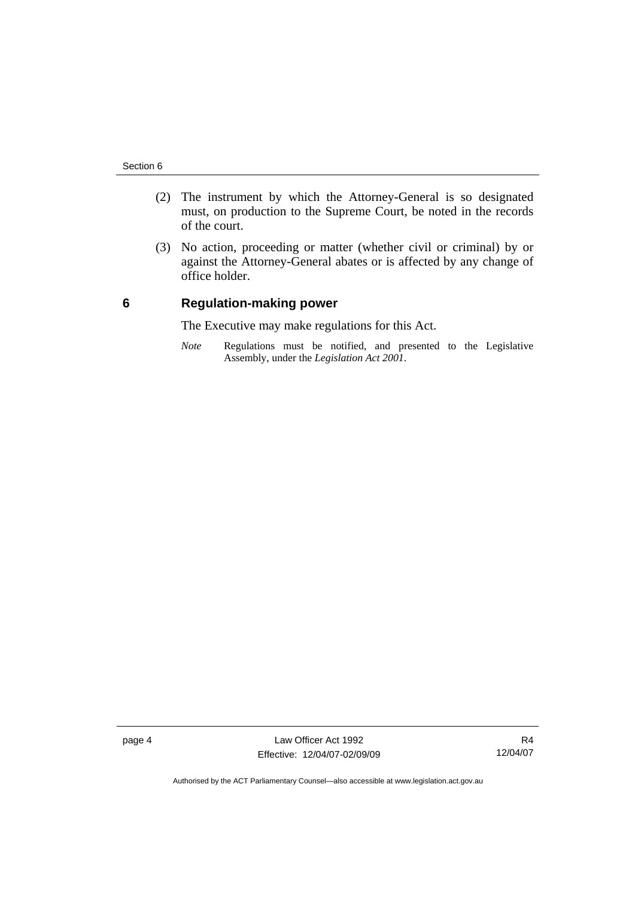- <span id="page-7-0"></span> (2) The instrument by which the Attorney-General is so designated must, on production to the Supreme Court, be noted in the records of the court.
- (3) No action, proceeding or matter (whether civil or criminal) by or against the Attorney-General abates or is affected by any change of office holder.

## **6 Regulation-making power**

The Executive may make regulations for this Act.

*Note* Regulations must be notified, and presented to the Legislative Assembly, under the *Legislation Act 2001*.

page 4 Law Officer Act 1992 Effective: 12/04/07-02/09/09

R4 12/04/07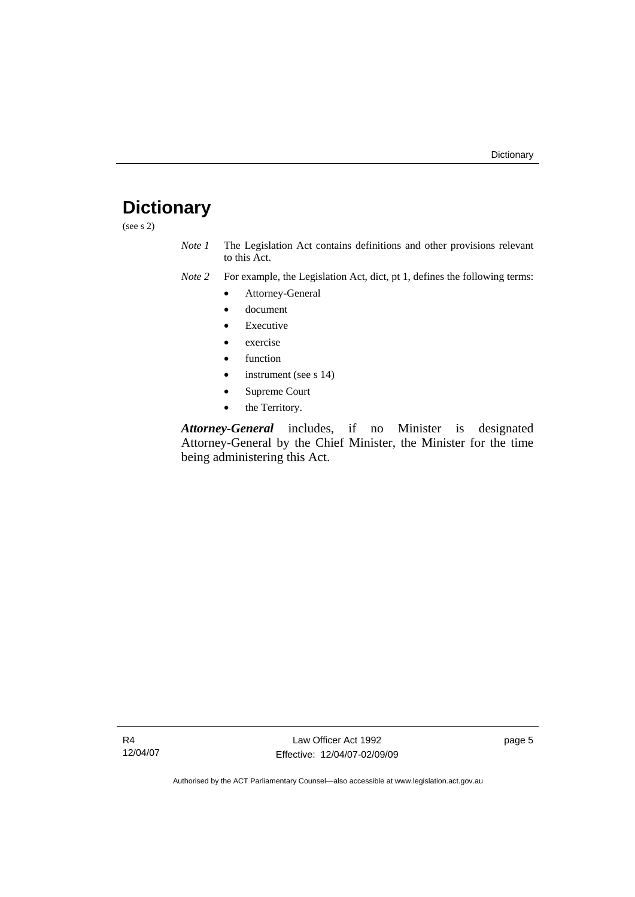# <span id="page-8-0"></span>**Dictionary**

(see s 2)

- *Note 1* The Legislation Act contains definitions and other provisions relevant to this Act.
- *Note 2* For example, the Legislation Act, dict, pt 1, defines the following terms:
	- Attorney-General
	- document
	- **Executive**
	- exercise
	- function
	- instrument (see s 14)
	- Supreme Court
	- the Territory.

*Attorney-General* includes, if no Minister is designated Attorney-General by the Chief Minister, the Minister for the time being administering this Act.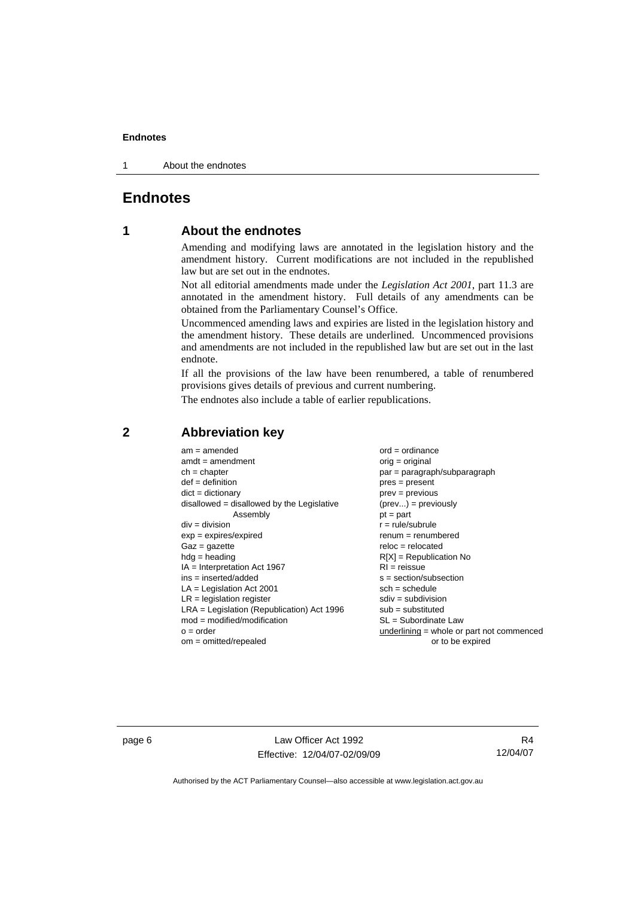#### <span id="page-9-0"></span>**Endnotes**

1 About the endnotes

# **Endnotes**

# **1 About the endnotes**

Amending and modifying laws are annotated in the legislation history and the amendment history. Current modifications are not included in the republished law but are set out in the endnotes.

Not all editorial amendments made under the *Legislation Act 2001*, part 11.3 are annotated in the amendment history. Full details of any amendments can be obtained from the Parliamentary Counsel's Office.

Uncommenced amending laws and expiries are listed in the legislation history and the amendment history. These details are underlined. Uncommenced provisions and amendments are not included in the republished law but are set out in the last endnote.

If all the provisions of the law have been renumbered, a table of renumbered provisions gives details of previous and current numbering.

The endnotes also include a table of earlier republications.

| $am = amended$                               | $ord = ordinance$                         |
|----------------------------------------------|-------------------------------------------|
| $amdt = amendment$                           | orig = original                           |
| $ch = chapter$                               | par = paragraph/subparagraph              |
| $def = definition$                           | $pres = present$                          |
| $dict = dictionary$                          | $prev = previous$                         |
| $disallowed = disallowed by the Legislative$ | $(\text{prev}) = \text{previously}$       |
| Assembly                                     | $pt = part$                               |
| $div = division$                             | $r = rule/subrule$                        |
| $exp = expires/expired$                      | $renum = renumbered$                      |
| $Gaz = gazette$                              | $reloc = relocated$                       |
| $h dq =$ heading                             | $R[X]$ = Republication No                 |
| $IA = Interpretation Act 1967$               | $RI = reissue$                            |
| $ins = inserted/added$                       | $s = section/subsection$                  |
| $LA =$ Legislation Act 2001                  | $sch = schedule$                          |
| $LR =$ legislation register                  | $sdiv = subdivision$                      |
| $LRA =$ Legislation (Republication) Act 1996 | $sub =$ substituted                       |
| $mod = modified/modification$                | SL = Subordinate Law                      |
| $o = order$                                  | underlining = whole or part not commenced |
| $om = omitted/repealed$                      | or to be expired                          |

## **2 Abbreviation key**

page 6 Law Officer Act 1992 Effective: 12/04/07-02/09/09

R4 12/04/07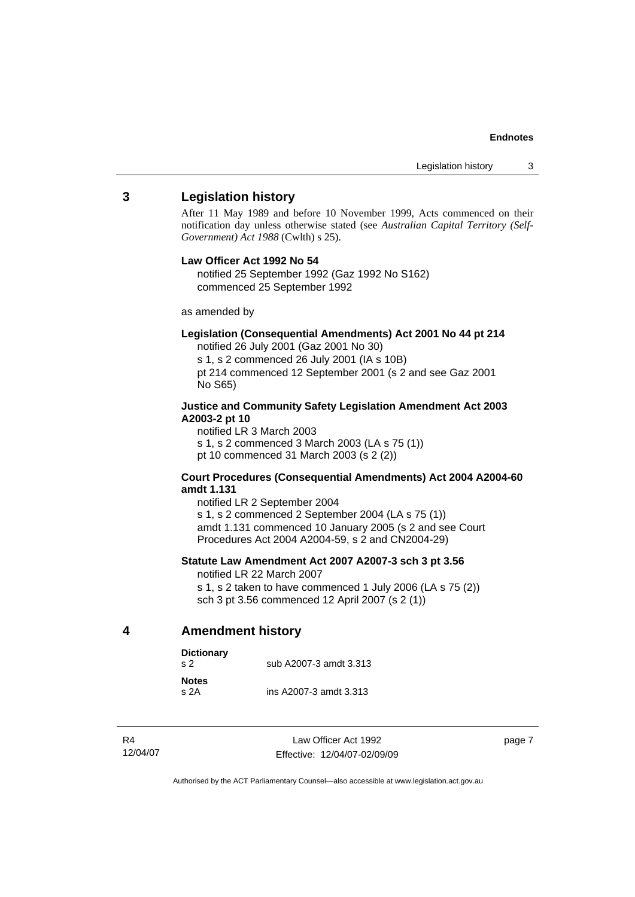#### **Endnotes**

### <span id="page-10-0"></span>**3 Legislation history**

After 11 May 1989 and before 10 November 1999, Acts commenced on their notification day unless otherwise stated (see *Australian Capital Territory (Self-Government) Act 1988* (Cwlth) s 25).

#### **Law Officer Act 1992 No 54**

notified 25 September 1992 (Gaz 1992 No S162) commenced 25 September 1992

as amended by

#### **Legislation (Consequential Amendments) Act 2001 No 44 pt 214**

notified 26 July 2001 (Gaz 2001 No 30) s 1, s 2 commenced 26 July 2001 (IA s 10B) pt 214 commenced 12 September 2001 (s 2 and see Gaz 2001 No S65)

#### **Justice and Community Safety Legislation Amendment Act 2003 A2003-2 pt 10**

notified LR 3 March 2003 s 1, s 2 commenced 3 March 2003 (LA s 75 (1)) pt 10 commenced 31 March 2003 (s 2 (2))

#### **Court Procedures (Consequential Amendments) Act 2004 A2004-60 amdt 1.131**

notified LR 2 September 2004 s 1, s 2 commenced 2 September 2004 (LA s 75 (1)) amdt 1.131 commenced 10 January 2005 (s 2 and see Court Procedures Act 2004 A2004-59, s 2 and CN2004-29)

#### **Statute Law Amendment Act 2007 A2007-3 sch 3 pt 3.56**

notified LR 22 March 2007

s 1, s 2 taken to have commenced 1 July 2006 (LA s 75 (2)) sch 3 pt 3.56 commenced 12 April 2007 (s 2 (1))

**4 Amendment history** 

| <b>Dictionary</b><br>S <sub>2</sub> | sub A2007-3 amdt 3.313 |  |
|-------------------------------------|------------------------|--|
| <b>Notes</b><br>S <sub>2A</sub>     | ins A2007-3 amdt 3.313 |  |

R4 12/04/07

Law Officer Act 1992 Effective: 12/04/07-02/09/09 page 7